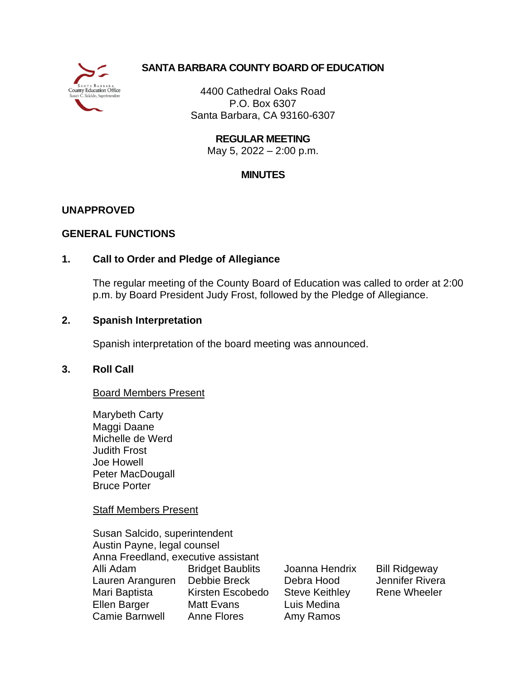

# **SANTA BARBARA COUNTY BOARD OF EDUCATION**

4400 Cathedral Oaks Road P.O. Box 6307 Santa Barbara, CA 93160-6307

> **REGULAR MEETING** May 5, 2022 – 2:00 p.m.

## **MINUTES**

### **UNAPPROVED**

### **GENERAL FUNCTIONS**

### **1. Call to Order and Pledge of Allegiance**

The regular meeting of the County Board of Education was called to order at 2:00 p.m. by Board President Judy Frost, followed by the Pledge of Allegiance.

### **2. Spanish Interpretation**

Spanish interpretation of the board meeting was announced.

### **3. Roll Call**

### Board Members Present

Marybeth Carty Maggi Daane Michelle de Werd Judith Frost Joe Howell Peter MacDougall Bruce Porter

Staff Members Present

Susan Salcido, superintendent Austin Payne, legal counsel Anna Freedland, executive assistant Alli Adam Bridget Baublits Joanna Hendrix Bill Ridgeway Lauren Aranguren Debbie Breck Debra Hood Jennifer Rivera Mari Baptista Kirsten Escobedo Steve Keithley Rene Wheeler Ellen Barger Matt Evans Luis Medina Camie Barnwell Anne Flores Amy Ramos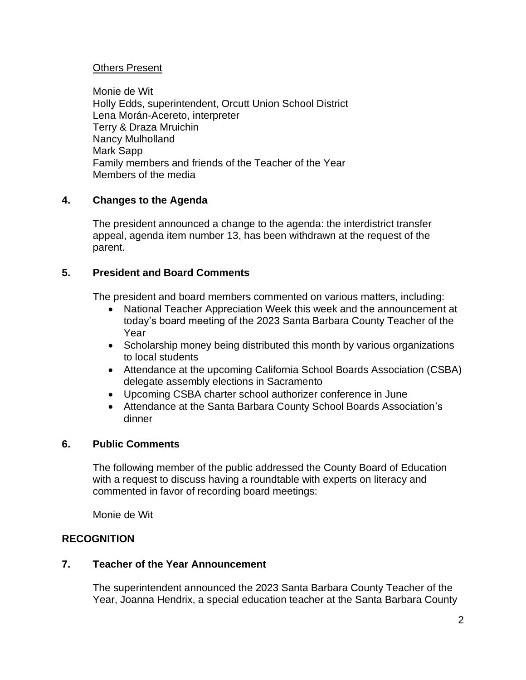## Others Present

Monie de Wit Holly Edds, superintendent, Orcutt Union School District Lena Morán-Acereto, interpreter Terry & Draza Mruichin Nancy Mulholland Mark Sapp Family members and friends of the Teacher of the Year Members of the media

## **4. Changes to the Agenda**

The president announced a change to the agenda: the interdistrict transfer appeal, agenda item number 13, has been withdrawn at the request of the parent.

### **5. President and Board Comments**

The president and board members commented on various matters, including:

- National Teacher Appreciation Week this week and the announcement at today's board meeting of the 2023 Santa Barbara County Teacher of the Year
- Scholarship money being distributed this month by various organizations to local students
- Attendance at the upcoming California School Boards Association (CSBA) delegate assembly elections in Sacramento
- Upcoming CSBA charter school authorizer conference in June
- Attendance at the Santa Barbara County School Boards Association's dinner

## **6. Public Comments**

The following member of the public addressed the County Board of Education with a request to discuss having a roundtable with experts on literacy and commented in favor of recording board meetings:

Monie de Wit

# **RECOGNITION**

### **7. Teacher of the Year Announcement**

The superintendent announced the 2023 Santa Barbara County Teacher of the Year, Joanna Hendrix, a special education teacher at the Santa Barbara County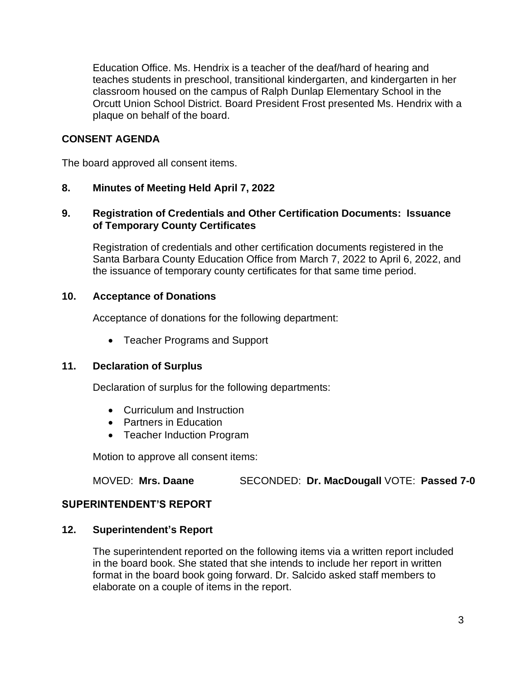Education Office. Ms. Hendrix is a teacher of the deaf/hard of hearing and teaches students in preschool, transitional kindergarten, and kindergarten in her classroom housed on the campus of Ralph Dunlap Elementary School in the Orcutt Union School District. Board President Frost presented Ms. Hendrix with a plaque on behalf of the board.

## **CONSENT AGENDA**

The board approved all consent items.

### **8. Minutes of Meeting Held April 7, 2022**

## **9. Registration of Credentials and Other Certification Documents: Issuance of Temporary County Certificates**

Registration of credentials and other certification documents registered in the Santa Barbara County Education Office from March 7, 2022 to April 6, 2022, and the issuance of temporary county certificates for that same time period.

### **10. Acceptance of Donations**

Acceptance of donations for the following department:

• Teacher Programs and Support

### **11. Declaration of Surplus**

Declaration of surplus for the following departments:

- Curriculum and Instruction
- Partners in Education
- Teacher Induction Program

Motion to approve all consent items:

MOVED: **Mrs. Daane** SECONDED: **Dr. MacDougall** VOTE: **Passed 7-0**

### **SUPERINTENDENT'S REPORT**

### **12. Superintendent's Report**

The superintendent reported on the following items via a written report included in the board book. She stated that she intends to include her report in written format in the board book going forward. Dr. Salcido asked staff members to elaborate on a couple of items in the report.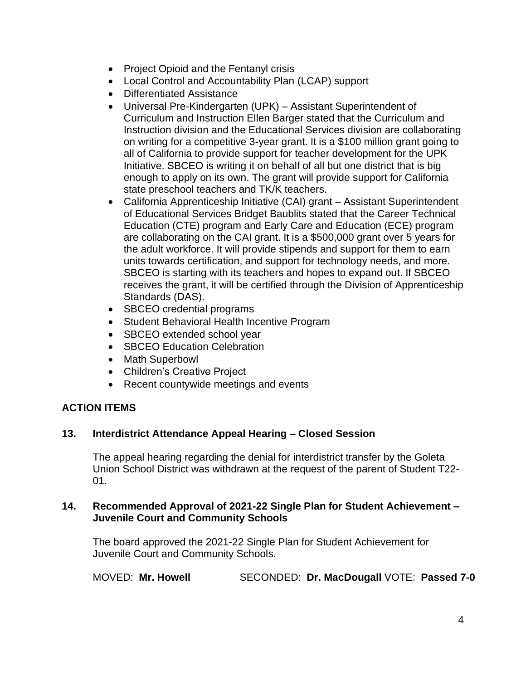- Project Opioid and the Fentanyl crisis
- Local Control and Accountability Plan (LCAP) support
- Differentiated Assistance
- Universal Pre-Kindergarten (UPK) Assistant Superintendent of Curriculum and Instruction Ellen Barger stated that the Curriculum and Instruction division and the Educational Services division are collaborating on writing for a competitive 3-year grant. It is a \$100 million grant going to all of California to provide support for teacher development for the UPK Initiative. SBCEO is writing it on behalf of all but one district that is big enough to apply on its own. The grant will provide support for California state preschool teachers and TK/K teachers.
- California Apprenticeship Initiative (CAI) grant Assistant Superintendent of Educational Services Bridget Baublits stated that the Career Technical Education (CTE) program and Early Care and Education (ECE) program are collaborating on the CAI grant. It is a \$500,000 grant over 5 years for the adult workforce. It will provide stipends and support for them to earn units towards certification, and support for technology needs, and more. SBCEO is starting with its teachers and hopes to expand out. If SBCEO receives the grant, it will be certified through the Division of Apprenticeship Standards (DAS).
- SBCEO credential programs
- Student Behavioral Health Incentive Program
- SBCEO extended school year
- **SBCEO Education Celebration**
- Math Superbowl
- Children's Creative Project
- Recent countywide meetings and events

# **ACTION ITEMS**

### **13. Interdistrict Attendance Appeal Hearing – Closed Session**

The appeal hearing regarding the denial for interdistrict transfer by the Goleta Union School District was withdrawn at the request of the parent of Student T22- 01.

#### **14. Recommended Approval of 2021-22 Single Plan for Student Achievement – Juvenile Court and Community Schools**

The board approved the 2021-22 Single Plan for Student Achievement for Juvenile Court and Community Schools.

MOVED: **Mr. Howell** SECONDED: **Dr. MacDougall** VOTE: **Passed 7-0**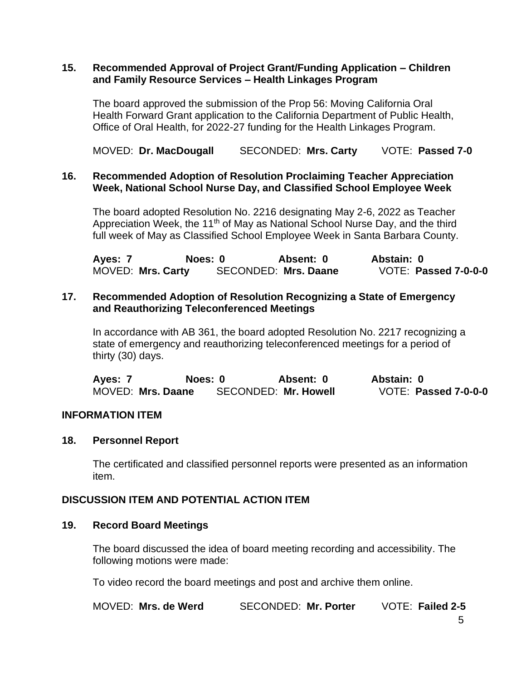#### **15. Recommended Approval of Project Grant/Funding Application – Children and Family Resource Services – Health Linkages Program**

The board approved the submission of the Prop 56: Moving California Oral Health Forward Grant application to the California Department of Public Health, Office of Oral Health, for 2022-27 funding for the Health Linkages Program.

MOVED: **Dr. MacDougall** SECONDED: **Mrs. Carty** VOTE: **Passed 7-0**

### **16. Recommended Adoption of Resolution Proclaiming Teacher Appreciation Week, National School Nurse Day, and Classified School Employee Week**

The board adopted Resolution No. 2216 designating May 2-6, 2022 as Teacher Appreciation Week, the 11<sup>th</sup> of May as National School Nurse Day, and the third full week of May as Classified School Employee Week in Santa Barbara County.

**Ayes: 7 Noes: 0 Absent: 0 Abstain: 0** MOVED: **Mrs. Carty** SECONDED: **Mrs. Daane** VOTE: **Passed 7-0-0-0**

### **17. Recommended Adoption of Resolution Recognizing a State of Emergency and Reauthorizing Teleconferenced Meetings**

In accordance with AB 361, the board adopted Resolution No. 2217 recognizing a state of emergency and reauthorizing teleconferenced meetings for a period of thirty (30) days.

**Ayes: 7 Noes: 0 Absent: 0 Abstain: 0** MOVED: **Mrs. Daane** SECONDED: **Mr. Howell** VOTE: **Passed 7-0-0-0**

### **INFORMATION ITEM**

#### **18. Personnel Report**

The certificated and classified personnel reports were presented as an information item.

### **DISCUSSION ITEM AND POTENTIAL ACTION ITEM**

#### **19. Record Board Meetings**

The board discussed the idea of board meeting recording and accessibility. The following motions were made:

To video record the board meetings and post and archive them online.

| MOVED: Mrs. de Werd | <b>SECONDED: Mr. Porter</b> | VOTE: Failed 2-5 |
|---------------------|-----------------------------|------------------|
|---------------------|-----------------------------|------------------|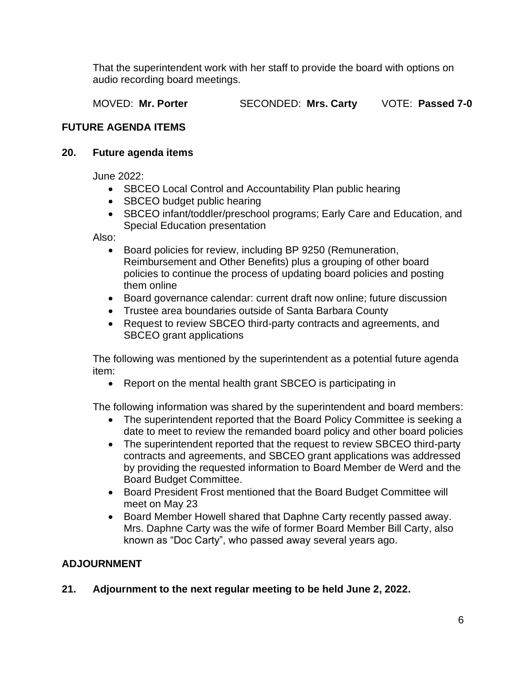That the superintendent work with her staff to provide the board with options on audio recording board meetings.

MOVED: **Mr. Porter** SECONDED: **Mrs. Carty** VOTE: **Passed 7-0**

# **FUTURE AGENDA ITEMS**

## **20. Future agenda items**

June 2022:

- SBCEO Local Control and Accountability Plan public hearing
- SBCEO budget public hearing
- SBCEO infant/toddler/preschool programs; Early Care and Education, and Special Education presentation

Also:

- Board policies for review, including BP 9250 (Remuneration, Reimbursement and Other Benefits) plus a grouping of other board policies to continue the process of updating board policies and posting them online
- Board governance calendar: current draft now online; future discussion
- Trustee area boundaries outside of Santa Barbara County
- Request to review SBCEO third-party contracts and agreements, and SBCEO grant applications

The following was mentioned by the superintendent as a potential future agenda item:

• Report on the mental health grant SBCEO is participating in

The following information was shared by the superintendent and board members:

- The superintendent reported that the Board Policy Committee is seeking a date to meet to review the remanded board policy and other board policies
- The superintendent reported that the request to review SBCEO third-party contracts and agreements, and SBCEO grant applications was addressed by providing the requested information to Board Member de Werd and the Board Budget Committee.
- Board President Frost mentioned that the Board Budget Committee will meet on May 23
- Board Member Howell shared that Daphne Carty recently passed away. Mrs. Daphne Carty was the wife of former Board Member Bill Carty, also known as "Doc Carty", who passed away several years ago.

# **ADJOURNMENT**

# **21. Adjournment to the next regular meeting to be held June 2, 2022.**